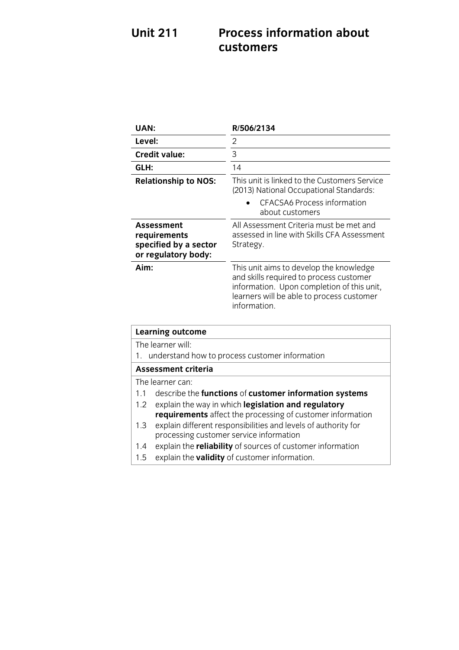## **Unit 211 Process information and one customers**

| Level:<br>2                                                                                                                                                                                           |  |
|-------------------------------------------------------------------------------------------------------------------------------------------------------------------------------------------------------|--|
| 3<br><b>Credit value:</b>                                                                                                                                                                             |  |
| GLH:<br>14                                                                                                                                                                                            |  |
| This unit is linked to the Customers Service<br><b>Relationship to NOS:</b><br>(2013) National Occupational Standards:<br><b>CFACSA6 Process information</b><br>about customers                       |  |
| All Assessment Criteria must be met and<br><b>Assessment</b><br>assessed in line with Skills CFA Assessment<br>requirements<br>specified by a sector<br>Strategy.<br>or regulatory body:              |  |
| Aim:<br>This unit aims to develop the knowledge<br>and skills required to process customer<br>information. Upon completion of this unit,<br>learners will be able to process customer<br>information. |  |
| <b>Learning outcome</b>                                                                                                                                                                               |  |
| The learner will:                                                                                                                                                                                     |  |
| understand how to process customer information<br>1.                                                                                                                                                  |  |
| <b>Assessment criteria</b>                                                                                                                                                                            |  |
| The learner can:                                                                                                                                                                                      |  |
| 1.1<br>describe the functions of customer information systems                                                                                                                                         |  |
| explain the way in which legislation and regulatory<br>1.2                                                                                                                                            |  |
| requirements affect the processing of customer information<br>explain different responsibilities and levels of authority for<br>1.3<br>processing customer service information                        |  |
| explain the reliability of sources of customer information<br>1.4<br>explain the validity of customer information.<br>1.5                                                                             |  |

1.5 explain the **validity** of customer information.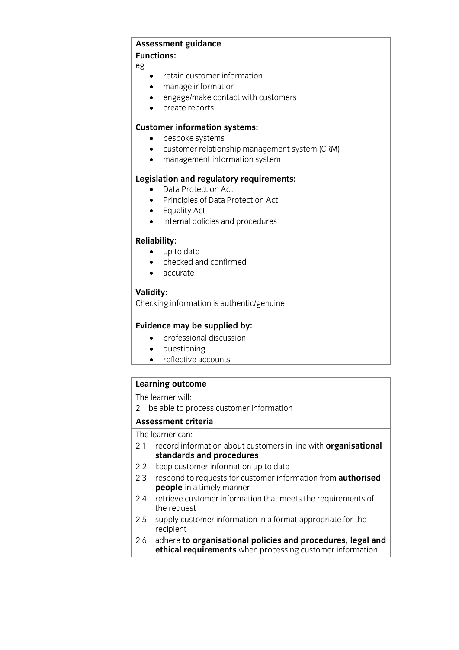## **Assessment guidance**

 $eg$  $\overline{a}$ 

- retain customer information
- manage information
- engage/make contact with customers
- create reports.

- **Customer relationship manufacturers** 
	- customer relationship management system (CRM)
	- management information system

- **Legislation Act**<br> **Legislation Act**<br> **Legislation Act**<br> **Legislation Act** 
	- Principles of Data Protection Act
	- Equality Act
	- internal policies and procedures

- up to date
	- checked and confirmed
	- accurate

## Validity:

Checking information is authentic/genuine Checking information is authentic/genuine

- **Evidence may be supplied by:**<br> **e** professional discussion
	- questioning
	- reflective accounts

## **Learning outcome**<br>The learner will:

2. be able to process customer information

## Assessment criteria

The learner can:

- 2.1 record information about customers in line with **organisational** standards and procedures
- 2.2 keep customer information up to date
- 2.3 respond to requests for customer information from **authorised people** in a timely manner
- **people** in a timely manner 2.4 retrieve customer information that meets the requirements of the requirements of the request<br>2.5 supply customer information in a format appropriate for the
- recipient
- 2.6 adhere to organisational policies and procedures, legal and **ethical requirements** when processing customer information **ethical requirements** when processing customer information.